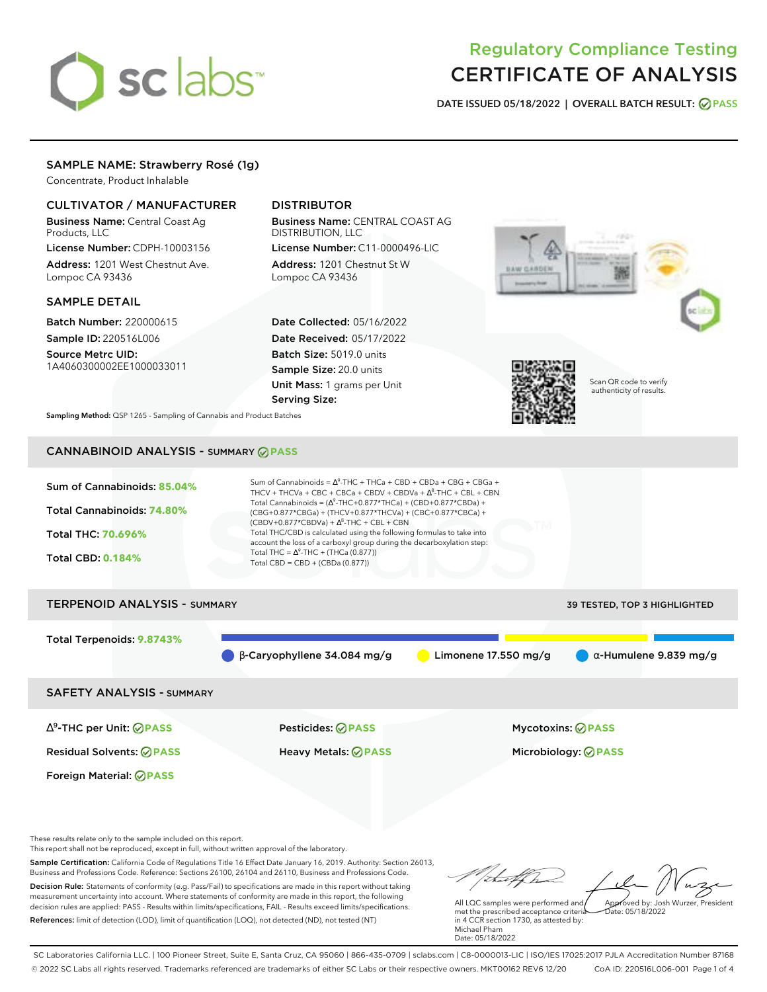# sclabs<sup>\*</sup>

# Regulatory Compliance Testing CERTIFICATE OF ANALYSIS

**DATE ISSUED 05/18/2022 | OVERALL BATCH RESULT: PASS**

# SAMPLE NAME: Strawberry Rosé (1g)

Concentrate, Product Inhalable

# CULTIVATOR / MANUFACTURER

Business Name: Central Coast Ag Products, LLC

License Number: CDPH-10003156 Address: 1201 West Chestnut Ave. Lompoc CA 93436

# SAMPLE DETAIL

Batch Number: 220000615 Sample ID: 220516L006

Source Metrc UID: 1A4060300002EE1000033011

# DISTRIBUTOR

Business Name: CENTRAL COAST AG DISTRIBUTION, LLC License Number: C11-0000496-LIC

Address: 1201 Chestnut St W Lompoc CA 93436

Date Collected: 05/16/2022 Date Received: 05/17/2022 Batch Size: 5019.0 units Sample Size: 20.0 units Unit Mass: 1 grams per Unit Serving Size:





Scan QR code to verify authenticity of results.

**Sampling Method:** QSP 1265 - Sampling of Cannabis and Product Batches

# CANNABINOID ANALYSIS - SUMMARY **PASS**

| Sum of Cannabinoids: 85.04%              | Sum of Cannabinoids = $\Delta^9$ -THC + THCa + CBD + CBDa + CBG + CBGa +<br>THCV + THCVa + CBC + CBCa + CBDV + CBDVa + $\Delta^8$ -THC + CBL + CBN                                                                                                                |                        |                                     |  |  |  |
|------------------------------------------|-------------------------------------------------------------------------------------------------------------------------------------------------------------------------------------------------------------------------------------------------------------------|------------------------|-------------------------------------|--|--|--|
| Total Cannabinoids: 74.80%               | Total Cannabinoids = $(\Delta^9$ -THC+0.877*THCa) + (CBD+0.877*CBDa) +<br>(CBG+0.877*CBGa) + (THCV+0.877*THCVa) + (CBC+0.877*CBCa) +<br>$(CBDV+0.877*CBDVa) + \Delta^8$ -THC + CBL + CBN<br>Total THC/CBD is calculated using the following formulas to take into |                        |                                     |  |  |  |
| Total THC: 70.696%                       | account the loss of a carboxyl group during the decarboxylation step:<br>Total THC = $\Delta^9$ -THC + (THCa (0.877))                                                                                                                                             |                        |                                     |  |  |  |
| <b>Total CBD: 0.184%</b>                 | Total CBD = $CBD + (CBDa (0.877))$                                                                                                                                                                                                                                |                        |                                     |  |  |  |
| <b>TERPENOID ANALYSIS - SUMMARY</b>      |                                                                                                                                                                                                                                                                   |                        | <b>39 TESTED, TOP 3 HIGHLIGHTED</b> |  |  |  |
| Total Terpenoids: 9.8743%                |                                                                                                                                                                                                                                                                   |                        |                                     |  |  |  |
|                                          | $\beta$ -Caryophyllene 34.084 mg/g                                                                                                                                                                                                                                | Limonene $17.550$ mg/g | $\alpha$ -Humulene 9.839 mg/g       |  |  |  |
| <b>SAFETY ANALYSIS - SUMMARY</b>         |                                                                                                                                                                                                                                                                   |                        |                                     |  |  |  |
| $\Delta^9$ -THC per Unit: $\oslash$ PASS | Pesticides: ⊘PASS                                                                                                                                                                                                                                                 |                        | <b>Mycotoxins: ⊘PASS</b>            |  |  |  |

Residual Solvents: **PASS** Heavy Metals: **PASS** Microbiology: **PASS**

These results relate only to the sample included on this report.

Foreign Material: **PASS**

This report shall not be reproduced, except in full, without written approval of the laboratory.

Sample Certification: California Code of Regulations Title 16 Effect Date January 16, 2019. Authority: Section 26013, Business and Professions Code. Reference: Sections 26100, 26104 and 26110, Business and Professions Code. Decision Rule: Statements of conformity (e.g. Pass/Fail) to specifications are made in this report without taking measurement uncertainty into account. Where statements of conformity are made in this report, the following decision rules are applied: PASS - Results within limits/specifications, FAIL - Results exceed limits/specifications.

References: limit of detection (LOD), limit of quantification (LOQ), not detected (ND), not tested (NT)

talk ha Approved by: Josh Wurzer, President

Date: 05/18/2022

All LQC samples were performed and met the prescribed acceptance criteria in 4 CCR section 1730, as attested by: Michael Pham Date: 05/18/2022

SC Laboratories California LLC. | 100 Pioneer Street, Suite E, Santa Cruz, CA 95060 | 866-435-0709 | sclabs.com | C8-0000013-LIC | ISO/IES 17025:2017 PJLA Accreditation Number 87168 © 2022 SC Labs all rights reserved. Trademarks referenced are trademarks of either SC Labs or their respective owners. MKT00162 REV6 12/20 CoA ID: 220516L006-001 Page 1 of 4